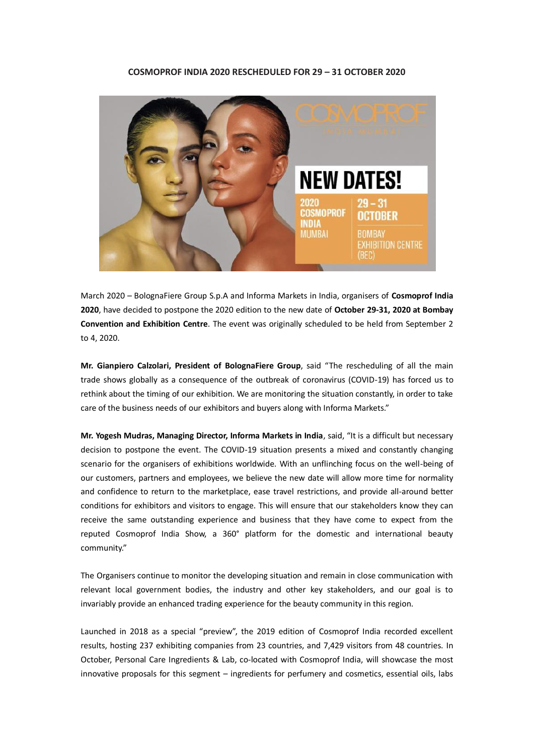## **COSMOPROF INDIA 2020 RESCHEDULED FOR 29 – 31 OCTOBER 2020**



March 2020 – BolognaFiere Group S.p.A and Informa Markets in India, organisers of **Cosmoprof India 2020**, have decided to postpone the 2020 edition to the new date of **October 29-31, 2020 at Bombay Convention and Exhibition Centre**. The event was originally scheduled to be held from September 2 to 4, 2020.

**Mr. Gianpiero Calzolari, President of BolognaFiere Group**, said "The rescheduling of all the main trade shows globally as a consequence of the outbreak of coronavirus (COVID-19) has forced us to rethink about the timing of our exhibition. We are monitoring the situation constantly, in order to take care of the business needs of our exhibitors and buyers along with Informa Markets."

**Mr. Yogesh Mudras, Managing Director, Informa Markets in India**, said, "It is a difficult but necessary decision to postpone the event. The COVID-19 situation presents a mixed and constantly changing scenario for the organisers of exhibitions worldwide. With an unflinching focus on the well-being of our customers, partners and employees, we believe the new date will allow more time for normality and confidence to return to the marketplace, ease travel restrictions, and provide all-around better conditions for exhibitors and visitors to engage. This will ensure that our stakeholders know they can receive the same outstanding experience and business that they have come to expect from the reputed Cosmoprof India Show, a 360° platform for the domestic and international beauty community."

The Organisers continue to monitor the developing situation and remain in close communication with relevant local government bodies, the industry and other key stakeholders, and our goal is to invariably provide an enhanced trading experience for the beauty community in this region.

Launched in 2018 as a special "preview", the 2019 edition of Cosmoprof India recorded excellent results, hosting 237 exhibiting companies from 23 countries, and 7,429 visitors from 48 countries. In October, Personal Care Ingredients & Lab, co-located with Cosmoprof India, will showcase the most innovative proposals for this segment – ingredients for perfumery and cosmetics, essential oils, labs